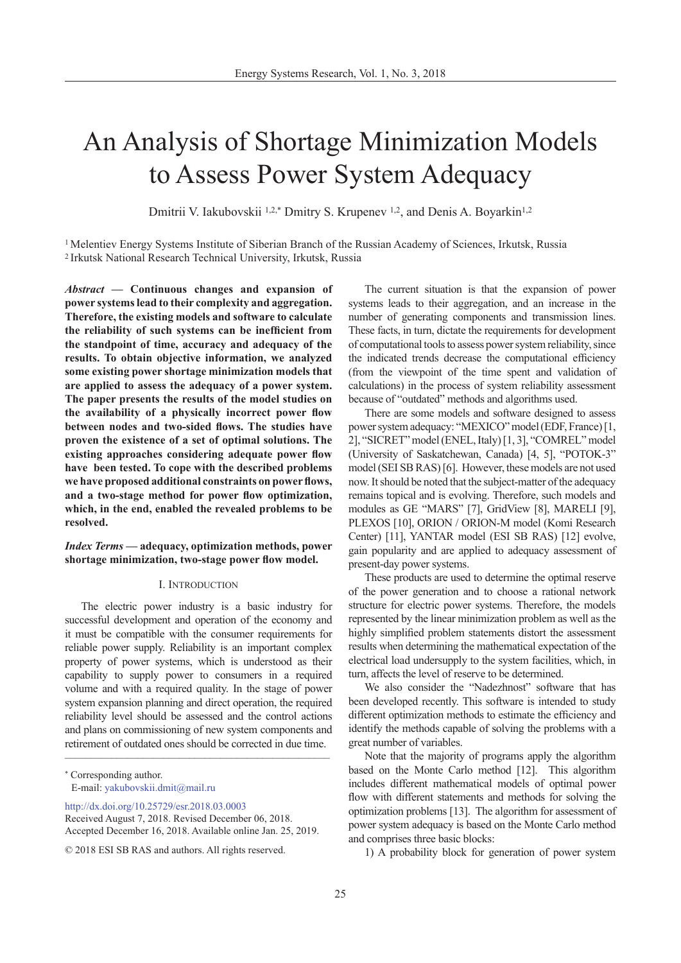# An Analysis of Shortage Minimization Models to Assess Power System Adequacy

Dmitrii V. Iakubovskii <sup>1,2,\*</sup> Dmitry S. Krupenev <sup>1,2</sup>, and Denis A. Boyarkin<sup>1,2</sup>

1 Melentiev Energy Systems Institute of Siberian Branch of the Russian Academy of Sciences, Irkutsk, Russia 2 Irkutsk National Research Technical University, Irkutsk, Russia

*Abstract —* **Continuous changes and expansion of power systems lead to their complexity and aggregation. Therefore, the existing models and software to calculate the reliability of such systems can be inefficient from the standpoint of time, accuracy and adequacy of the results. To obtain objective information, we analyzed some existing power shortage minimization models that are applied to assess the adequacy of a power system. The paper presents the results of the model studies on the availability of a physically incorrect power flow between nodes and two-sided flows. The studies have proven the existence of a set of optimal solutions. The existing approaches considering adequate power flow have been tested. To cope with the described problems we have proposed additional constraints on power flows, and a two-stage method for power flow optimization, which, in the end, enabled the revealed problems to be resolved.**

*Index Terms —* **adequacy, optimization methods, power shortage minimization, two-stage power flow model.**

## I. Introduction

The electric power industry is a basic industry for successful development and operation of the economy and it must be compatible with the consumer requirements for reliable power supply. Reliability is an important complex property of power systems, which is understood as their capability to supply power to consumers in a required volume and with a required quality. In the stage of power system expansion planning and direct operation, the required reliability level should be assessed and the control actions and plans on commissioning of new system components and retirement of outdated ones should be corrected in due time.  $\mathcal{L}_\text{max}$  , and the contract of the contract of the contract of the contract of the contract of the contract of the contract of the contract of the contract of the contract of the contract of the contract of the contr

[http://dx.doi.org/10.25729/esr.2018.03.000](http://dx.doi.org/10.25729/esr.2018.03.0003)3

The current situation is that the expansion of power systems leads to their aggregation, and an increase in the number of generating components and transmission lines. These facts, in turn, dictate the requirements for development of computational tools to assess power system reliability, since the indicated trends decrease the computational efficiency (from the viewpoint of the time spent and validation of calculations) in the process of system reliability assessment because of "outdated" methods and algorithms used.

There are some models and software designed to assess power system adequacy: "MEXICO" model (EDF, France) [1, 2], "SICRET" model (ENEL, Italy) [1, 3], "COMREL" model (University of Saskatchewan, Canada) [4, 5], "POTOK-3" model (SEI SB RAS) [6]. However, these models are not used now. It should be noted that the subject-matter of the adequacy remains topical and is evolving. Therefore, such models and modules as GE "MARS" [7], GridView [8], MARELI [9], PLEXOS [10], ORION / ORION-M model (Komi Research Center) [11], YANTAR model (ESI SB RAS) [12] evolve, gain popularity and are applied to adequacy assessment of present-day power systems.

These products are used to determine the optimal reserve of the power generation and to choose a rational network structure for electric power systems. Therefore, the models represented by the linear minimization problem as well as the highly simplified problem statements distort the assessment results when determining the mathematical expectation of the electrical load undersupply to the system facilities, which, in turn, affects the level of reserve to be determined.

We also consider the "Nadezhnost" software that has been developed recently. This software is intended to study different optimization methods to estimate the efficiency and identify the methods capable of solving the problems with a great number of variables.

Note that the majority of programs apply the algorithm based on the Monte Carlo method [12]. This algorithm includes different mathematical models of optimal power flow with different statements and methods for solving the optimization problems [13]. The algorithm for assessment of power system adequacy is based on the Monte Carlo method and comprises three basic blocks:

1) A probability block for generation of power system

<sup>\*</sup> Corresponding author. E-mail: yakubovskii.dmit@mail.ru

Received August 7, 2018. Revised December 06, 2018. Accepted December 16, 2018. Available online Jan. 25, 2019.

<sup>© 2018</sup> ESI SB RAS and authors. All rights reserved.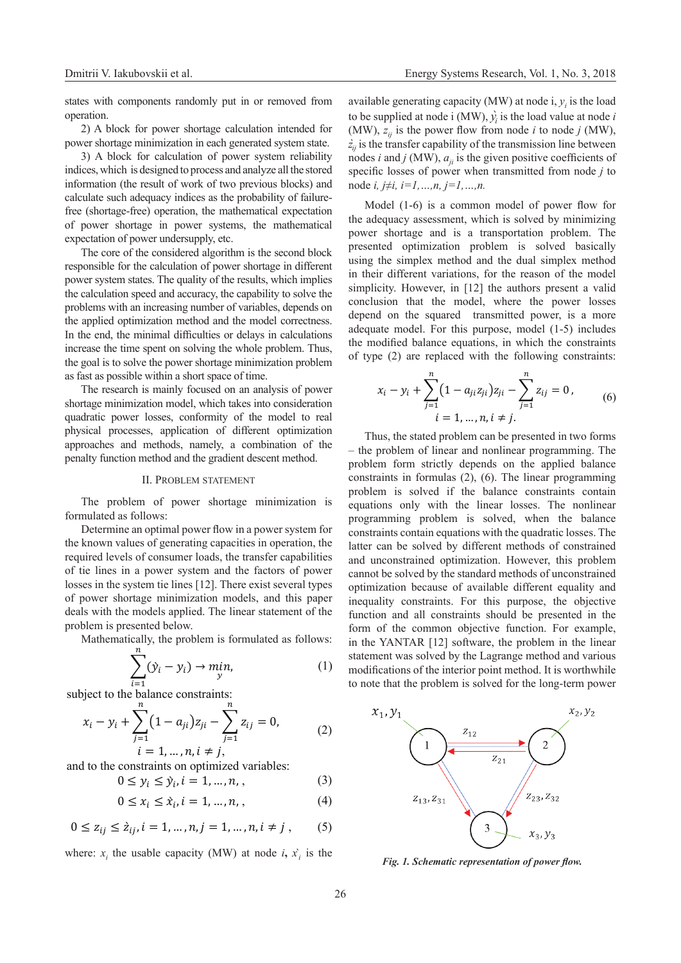states with components randomly put in or removed from operation.

2) A block for power shortage calculation intended for power shortage minimization in each generated system state.

3) A block for calculation of power system reliability indices, which is designed to process and analyze all the stored information (the result of work of two previous blocks) and calculate such adequacy indices as the probability of failurefree (shortage-free) operation, the mathematical expectation of power shortage in power systems, the mathematical expectation of power undersupply, etc.

The core of the considered algorithm is the second block responsible for the calculation of power shortage in different power system states. The quality of the results, which implies the calculation speed and accuracy, the capability to solve the problems with an increasing number of variables, depends on the applied optimization method and the model correctness. In the end, the minimal difficulties or delays in calculations increase the time spent on solving the whole problem. Thus, the goal is to solve the power shortage minimization problem as fast as possible within a short space of time.

The research is mainly focused on an analysis of power shortage minimization model, which takes into consideration quadratic power losses, conformity of the model to real physical processes, application of different optimization approaches and methods, namely, a combination of the penalty function method and the gradient descent method.

### II. Problem statement

The problem of power shortage minimization is formulated as follows:

Determine an optimal power flow in a power system for the known values of generating capacities in operation, the required levels of consumer loads, the transfer capabilities of tie lines in a power system and the factors of power losses in the system tie lines [12]. There exist several types of power shortage minimization models, and this paper deals with the models applied. The linear statement of the problem is presented below.

Mathematically, the problem is formulated as follows:

$$
\sum_{i=1} (\dot{y}_i - y_i) \to \min_{y}
$$
 (1)

 $i=1$ <br>subject to the balance constraints:

 $\boldsymbol{\eta}$ 

$$
x_i - y_i + \sum_{j=1}^n (1 - a_{ji}) z_{ji} - \sum_{j=1}^n z_{ij} = 0,
$$
\n(2)

 $l = 1, ..., n, l \neq j$ , and to the constraints on optimized variables:

$$
0 \le y_i \le \dot{y}_i, i = 1, ..., n, ,
$$
 (3)

$$
0 \le x_i \le \dot{x}_i, i = 1, \ldots, n, \qquad (4)
$$

$$
0 \le z_{ij} \le \dot{z}_{ij}, i = 1, \dots, n, j = 1, \dots, n, i \neq j , \qquad (5)
$$

where:  $x_i$  the usable capacity (MW) at node *i*,  $\hat{x_i}$  is the

available generating capacity (MW) at node  $i, y<sub>i</sub>$  is the load to be supplied at node *i* (MW),  $\hat{y_i}$  *is* the load value at node *i* (MW),  $z_{ij}$  is the power flow from node *i* to node *j* (MW),  $\dot{z}_i$  is the transfer capability of the transmission line between nodes *i* and *j* (MW),  $a_{ij}$  is the given positive coefficients of specific losses of power when transmitted from node *j* to node *i, j≠i, i=1,…,n, j=1,…,n.*

Model (1-6) is a common model of power flow for the adequacy assessment, which is solved by minimizing power shortage and is a transportation problem. The presented optimization problem is solved basically using the simplex method and the dual simplex method in their different variations, for the reason of the model simplicity. However, in [12] the authors present a valid conclusion that the model, where the power losses depend on the squared transmitted power, is a more adequate model. For this purpose, model (1-5) includes the modified balance equations, in which the constraints of type (2) are replaced with the following constraints:

$$
x_i - y_i + \sum_{j=1}^n (1 - a_{ji} z_{ji}) z_{ji} - \sum_{j=1}^n z_{ij} = 0,
$$
  
\n $i = 1, ..., n, i \neq j.$  (6)

Thus, the stated problem can be presented in two forms – the problem of linear and nonlinear programming. The problem form strictly depends on the applied balance constraints in formulas (2), (6). The linear programming problem is solved if the balance constraints contain equations only with the linear losses. The nonlinear programming problem is solved, when the balance constraints contain equations with the quadratic losses. The latter can be solved by different methods of constrained and unconstrained optimization. However, this problem cannot be solved by the standard methods of unconstrained optimization because of available different equality and inequality constraints. For this purpose, the objective function and all constraints should be presented in the form of the common objective function. For example, in the YANTAR [12] software, the problem in the linear statement was solved by the Lagrange method and various modifications of the interior point method. It is worthwhile to note that the problem is solved for the long-term power



*Fig. 1. Schematic representation of power flow.*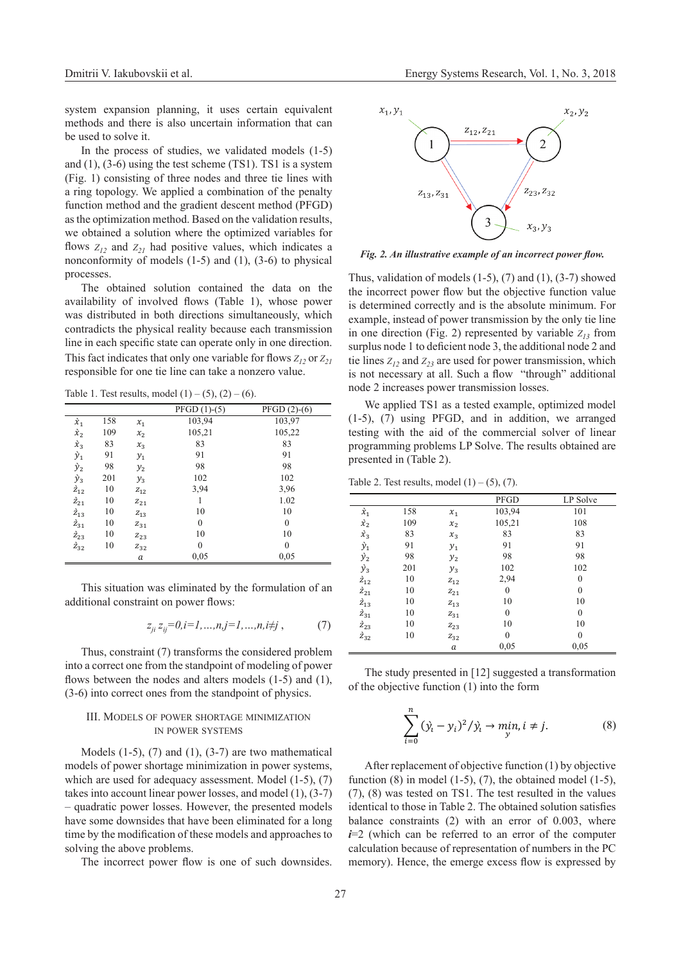system expansion planning, it uses certain equivalent methods and there is also uncertain information that can be used to solve it.

In the process of studies, we validated models (1-5) and (1), (3-6) using the test scheme (ТS1). ТS1 is a system (Fig. 1) consisting of three nodes and three tie lines with a ring topology. We applied a combination of the penalty function method and the gradient descent method (PFGD) as the optimization method. Based on the validation results, we obtained a solution where the optimized variables for flows  $Z_1$ <sup>2</sup> and  $Z_2$ <sup>1</sup> had positive values, which indicates a nonconformity of models (1-5) and (1), (3-6) to physical processes.

The obtained solution contained the data on the availability of involved flows (Table 1), whose power was distributed in both directions simultaneously, which contradicts the physical reality because each transmission line in each specific state can operate only in one direction. This fact indicates that only one variable for flows  $Z_1$ , or  $Z_2$ responsible for one tie line can take a nonzero value.

Table 1. Test results, model  $(1) - (5)$ ,  $(2) - (6)$ .

|                  |     |          | $PFGD(1)-(5)$    | $PFGD(2)-(6)$ |
|------------------|-----|----------|------------------|---------------|
| $\hat{x}_1$      | 158 | $x_1$    | 103,94           | 103,97        |
| $\hat{x}_2$      | 109 | $x_2$    | 105,21           | 105,22        |
| $\hat{x}_3$      | 83  | $x_3$    | 83               | 83            |
| $\dot{y}_1$      | 91  | $y_1$    | 91               | 91            |
| $\dot{y}_2$      | 98  | $y_2$    | 98               | 98            |
| $\dot{y}_3$      | 201 | $y_3$    | 102              | 102           |
| $\dot{z}_{12}$   | 10  | $Z_{12}$ | 3,94             | 3,96          |
| $\dot{z}_{21}$   | 10  | $Z_{21}$ |                  | 1.02          |
| $\grave{z}_{13}$ | 10  | $Z_{13}$ | 10               | 10            |
| $\dot{z}_{31}$   | 10  | $Z_{31}$ | $\boldsymbol{0}$ | $\mathbf{0}$  |
| $\dot{z}_{23}$   | 10  | $Z_{23}$ | 10               | 10            |
| $\tilde{Z}_{32}$ | 10  | $Z_{32}$ | $\theta$         | $\mathbf{0}$  |
|                  |     | а        | 0,05             | 0,05          |
|                  |     |          |                  |               |

This situation was eliminated by the formulation of an additional constraint on power flows:

$$
z_{ji} z_{ij} = 0, i = 1, ..., n, j = 1, ..., n, i \neq j , \tag{7}
$$

Thus, constraint (7) transforms the considered problem into a correct one from the standpoint of modeling of power flows between the nodes and alters models (1-5) and (1), (3-6) into correct ones from the standpoint of physics.

## III. Models of power shortage minimization in power systems

Models  $(1-5)$ ,  $(7)$  and  $(1)$ ,  $(3-7)$  are two mathematical models of power shortage minimization in power systems, which are used for adequacy assessment. Model (1-5), (7) takes into account linear power losses, and model (1), (3-7) – quadratic power losses. However, the presented models have some downsides that have been eliminated for a long time by the modification of these models and approaches to solving the above problems.

The incorrect power flow is one of such downsides.



*Fig. 2. An illustrative example of an incorrect power flow.*

Thus, validation of models  $(1-5)$ ,  $(7)$  and  $(1)$ ,  $(3-7)$  showed the incorrect power flow but the objective function value is determined correctly and is the absolute minimum. For example, instead of power transmission by the only tie line in one direction (Fig. 2) represented by variable  $Z_{13}$  from surplus node 1 to deficient node 3, the additional node 2 and tie lines  $Z_{12}$  and  $Z_{23}$  are used for power transmission, which is not necessary at all. Such a flow "through" additional node 2 increases power transmission losses.

We applied TS1 as a tested example, optimized model (1-5), (7) using PFGD, and in addition, we arranged testing with the aid of the commercial solver of linear programming problems LP Solve. The results obtained are presented in (Table 2).

Table 2. Test results, model  $(1) - (5)$ ,  $(7)$ .

|                  |     |          | PFGD   | LP Solve     |
|------------------|-----|----------|--------|--------------|
| $\dot{x}_1$      | 158 | $x_1$    | 103,94 | 101          |
| $\dot{x}_2$      | 109 | $x_{2}$  | 105,21 | 108          |
| $\dot{x}_3$      | 83  | $x_3$    | 83     | 83           |
| $\grave{y}_1$    | 91  | $y_1$    | 91     | 91           |
| $\dot{y}_2$      | 98  | $y_{2}$  | 98     | 98           |
| $\dot{y}_3$      | 201 | $y_3$    | 102    | 102          |
| $\dot{z}_{12}$   | 10  | $Z_{12}$ | 2,94   | $\theta$     |
| $\grave{z}_{21}$ | 10  | $Z_{21}$ | 0      | $\theta$     |
| $\grave{z}_{13}$ | 10  | $Z_{13}$ | 10     | 10           |
| $\grave{z}_{31}$ | 10  | $Z_{31}$ | 0      | $\theta$     |
| $\dot{z}_{23}$   | 10  | $Z_{23}$ | 10     | 10           |
| $\dot{z}_{32}$   | 10  | $Z_{32}$ | 0      | $\mathbf{0}$ |
|                  |     | а        | 0,05   | 0,05         |
|                  |     |          |        |              |

The study presented in [12] suggested a transformation of the objective function (1) into the form

$$
\sum_{i=0}^{n} (y_i - y_i)^2 / y_i \to \min_{y} i \neq j.
$$
 (8)

After replacement of objective function (1) by objective function  $(8)$  in model  $(1-5)$ ,  $(7)$ , the obtained model  $(1-5)$ , (7), (8) was tested on TS1. The test resulted in the values identical to those in Table 2. The obtained solution satisfies balance constraints (2) with an error of 0.003, where *i*=2 (which can be referred to an error of the computer calculation because of representation of numbers in the PC memory). Hence, the emerge excess flow is expressed by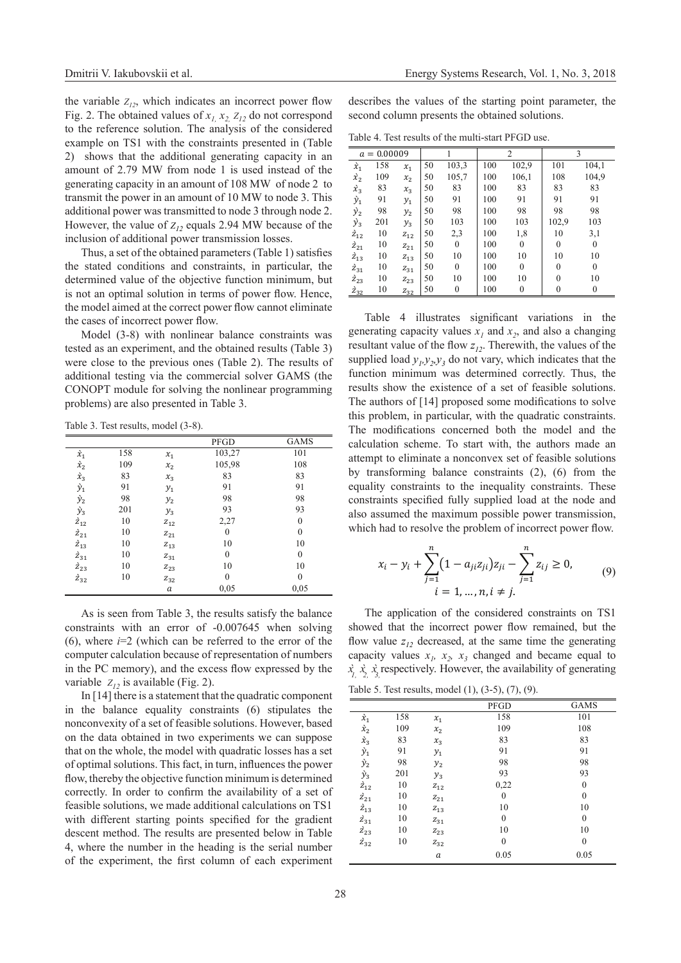the variable  $Z_{12}$ , which indicates an incorrect power flow Fig. 2. The obtained values of  $x_1$ ,  $x_2$ ,  $z_1$ <sub>2</sub> do not correspond to the reference solution. The analysis of the considered example on TS1 with the constraints presented in (Table 2) shows that the additional generating capacity in an amount of 2.79 MW from node 1 is used instead of the generating capacity in an amount of 108 MW of node 2 to transmit the power in an amount of 10 MW to node 3. This additional power was transmitted to node 3 through node 2. However, the value of  $Z_{12}$  equals 2.94 MW because of the inclusion of additional power transmission losses.

Thus, a set of the obtained parameters (Table 1) satisfies the stated conditions and constraints, in particular, the determined value of the objective function minimum, but is not an optimal solution in terms of power flow. Hence, the model aimed at the correct power flow cannot eliminate the cases of incorrect power flow.

Model (3-8) with nonlinear balance constraints was tested as an experiment, and the obtained results (Table 3) were close to the previous ones (Table 2). The results of additional testing via the commercial solver GAMS (the CONOPT module for solving the nonlinear programming problems) are also presented in Table 3.

Table 3. Test results, model (3-8).

|                  |     |          | PFGD         | <b>GAMS</b>      |
|------------------|-----|----------|--------------|------------------|
| $\grave{x}_1$    | 158 | $x_1$    | 103,27       | 101              |
| $\grave{x}_2$    | 109 | $x_2$    | 105,98       | 108              |
| $\dot{x}_3$      | 83  | $x_3$    | 83           | 83               |
| $\grave{y}_1$    | 91  | $y_1$    | 91           | 91               |
| $\grave{y}_2$    | 98  | $y_2$    | 98           | 98               |
| $\dot{y}_3$      | 201 | $y_3$    | 93           | 93               |
| $\dot{z}_{12}$   | 10  | $Z_{12}$ | 2,27         | $\theta$         |
| $\tilde{z}_{21}$ | 10  | $Z_{21}$ | $\mathbf{0}$ | $\boldsymbol{0}$ |
| $\grave{z}_{13}$ | 10  | $Z_{13}$ | 10           | 10               |
| $\grave{z}_{31}$ | 10  | $Z_{31}$ | $\mathbf{0}$ | $\theta$         |
| $\dot{z}_{23}$   | 10  | $Z_{23}$ | 10           | 10               |
| $\vec{z}_{32}$   | 10  | $Z_{32}$ | $\theta$     | $\theta$         |
|                  |     | a        | 0,05         | 0,05             |

As is seen from Table 3, the results satisfy the balance constraints with an error of -0.007645 when solving (6), where *i*=2 (which can be referred to the error of the computer calculation because of representation of numbers in the PC memory), and the excess flow expressed by the variable  $Z_1$ <sup>2</sup> is available (Fig. 2).

In [14] there is a statement that the quadratic component in the balance equality constraints (6) stipulates the nonconvexity of a set of feasible solutions. However, based on the data obtained in two experiments we can suppose that on the whole, the model with quadratic losses has a set of optimal solutions. This fact, in turn, influences the power flow, thereby the objective function minimum is determined correctly. In order to confirm the availability of a set of feasible solutions, we made additional calculations on TS1 with different starting points specified for the gradient descent method. The results are presented below in Table 4, where the number in the heading is the serial number of the experiment, the first column of each experiment

describes the values of the starting point parameter, the second column presents the obtained solutions.

Table 4. Test results of the multi-start PFGD use.

| $a = 0.00009$             |     |          |    |                  | $\overline{c}$ |              | 3        |              |
|---------------------------|-----|----------|----|------------------|----------------|--------------|----------|--------------|
| $\hat{x}_1$               | 158 | $x_1$    | 50 | 103,3            | 100            | 102,9        | 101      | 104,1        |
| $\grave{x}_2$             | 109 | $x_2$    | 50 | 105,7            | 100            | 106,1        | 108      | 104,9        |
| $\dot{x}_3$               | 83  | $x_3$    | 50 | 83               | 100            | 83           | 83       | 83           |
| $\grave{y}_1$             | 91  | $y_1$    | 50 | 91               | 100            | 91           | 91       | 91           |
| $\dot{y}_2$               | 98  | $y_{2}$  | 50 | 98               | 100            | 98           | 98       | 98           |
| $\dot{y}_3$               | 201 | $y_3$    | 50 | 103              | 100            | 103          | 102,9    | 103          |
| $\dot{z}_{12}$            | 10  | $Z_{12}$ | 50 | 2,3              | 100            | 1,8          | 10       | 3,1          |
| $\dot{z}_{21}$            | 10  | $Z_{21}$ | 50 | $\mathbf{0}$     | 100            | $\mathbf{0}$ | $\theta$ | $\mathbf{0}$ |
| $\grave{\mathbf{z}}_{13}$ | 10  | $Z_{13}$ | 50 | 10               | 100            | 10           | 10       | 10           |
| $\vec{z}_{31}$            | 10  | $Z_{31}$ | 50 | $\mathbf{0}$     | 100            | $\mathbf{0}$ | $\theta$ | $\mathbf{0}$ |
| $\vec{z}_{23}$            | 10  | $Z_{23}$ | 50 | 10               | 100            | 10           | $\Omega$ | 10           |
| $\frac{\dot{z}_{32}}{2}$  | 10  | $Z_{32}$ | 50 | $\boldsymbol{0}$ | 100            | $\theta$     | 0        | $\theta$     |

Table 4 illustrates significant variations in the generating capacity values  $x_1$  and  $x_2$ , and also a changing resultant value of the flow  $z_1$ <sup>2</sup>. Therewith, the values of the supplied load  $y_1, y_2, y_3$  do not vary, which indicates that the function minimum was determined correctly. Thus, the results show the existence of a set of feasible solutions. The authors of [14] proposed some modifications to solve this problem, in particular, with the quadratic constraints. The modifications concerned both the model and the calculation scheme. To start with, the authors made an attempt to eliminate a nonconvex set of feasible solutions by transforming balance constraints (2), (6) from the equality constraints to the inequality constraints. These constraints specified fully supplied load at the node and also assumed the maximum possible power transmission, which had to resolve the problem of incorrect power flow.

$$
x_i - y_i + \sum_{j=1}^n (1 - a_{ji} z_{ji}) z_{ji} - \sum_{j=1}^n z_{ij} \ge 0,
$$
  
\n $i = 1, ..., n, i \ne j.$  (9)

The application of the considered constraints on TS1 showed that the incorrect power flow remained, but the flow value  $z_{12}$  decreased, at the same time the generating capacity values  $x_1$ ,  $x_2$ ,  $x_3$  changed and became equal to  $\dot{x}$ ,  $\dot{x}$ ,  $\dot{x}$ , respectively. However, the availability of generating Table 5. Test results, model (1), (3-5), (7), (9).

|                  |     |                     | PFGD             | <b>GAMS</b>      |
|------------------|-----|---------------------|------------------|------------------|
| $\dot{x}_1$      | 158 | $x_1$               | 158              | 101              |
| $\grave{x}_2$    | 109 | x <sub>2</sub>      | 109              | 108              |
| $\hat{x}_3$      | 83  | $x_3$               | 83               | 83               |
| $\dot{y}_1$      | 91  | $y_1$               | 91               | 91               |
| $\dot{y}_2$      | 98  | $y_2$               | 98               | 98               |
| $\dot{y}_3$      | 201 | $y_3$               | 93               | 93               |
| $\grave{z}_{12}$ | 10  | $Z_{12}$            | 0,22             | $\mathbf{0}$     |
| $\grave{z}_{21}$ | 10  | $Z_{21}$            | $\mathbf{0}$     | $\mathbf{0}$     |
| $\grave{z}_{13}$ | 10  | $Z_{13}$            | 10               | 10               |
| $\grave{z}_{31}$ | 10  | $\mathfrak{Z}_{31}$ | $\boldsymbol{0}$ | $\boldsymbol{0}$ |
| $\dot{z}_{23}$   | 10  | $Z_{23}$            | 10               | 10               |
| $\dot{z}_{32}$   | 10  | $Z_{32}$            | $\boldsymbol{0}$ | 0                |
|                  |     | $\boldsymbol{a}$    | 0.05             | 0.05             |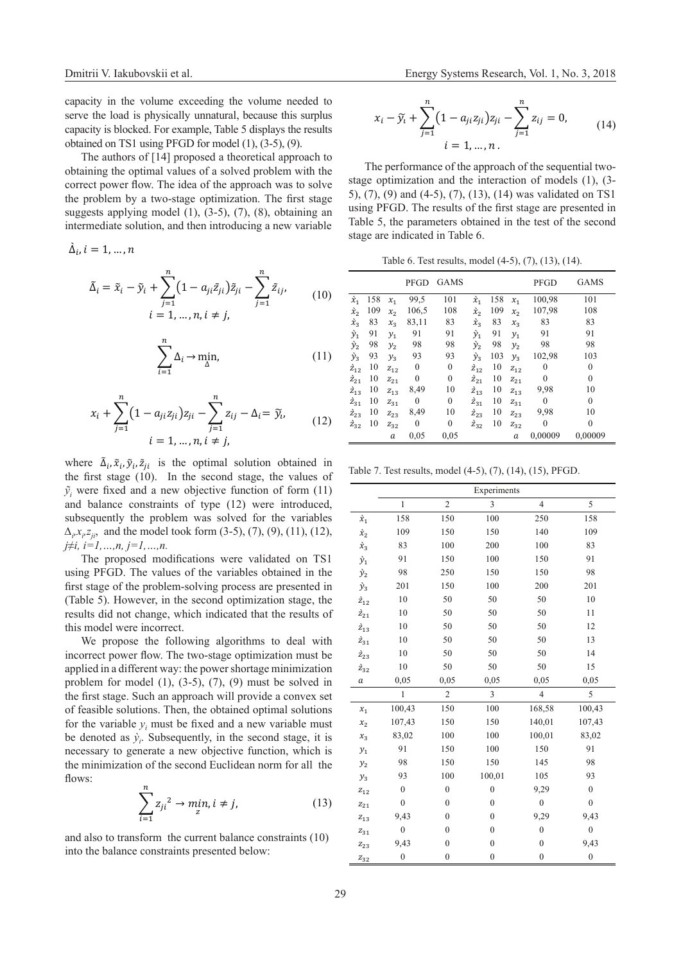capacity in the volume exceeding the volume needed to serve the load is physically unnatural, because this surplus capacity is blocked. For example, Table 5 displays the results obtained on ТS1 using PFGD for model (1), (3-5), (9).

The authors of [14] proposed a theoretical approach to obtaining the optimal values of a solved problem with the correct power flow. The idea of the approach was to solve the problem by a two-stage optimization. The first stage suggests applying model (1), (3-5), (7), (8), obtaining an intermediate solution, and then introducing a new variable

 $\Delta_i$ ,  $i = 1, ..., n$ 

$$
\tilde{\Delta}_i = \tilde{x}_i - \tilde{y}_i + \sum_{j=1}^n (1 - a_{ji}\tilde{z}_{ji})\tilde{z}_{ji} - \sum_{j=1}^n \tilde{z}_{ij},
$$
  
\n $i = 1, ..., n, i \neq j,$  (10)

$$
\sum_{i=1}^{n} \Delta_i \to \min_{\Delta} \tag{11}
$$

$$
x_i + \sum_{j=1}^{n} (1 - a_{ji} z_{ji}) z_{ji} - \sum_{j=1}^{n} z_{ij} - \Delta_i = \tilde{y}_i, \qquad (12)
$$
  

$$
i = 1, ..., n, i \neq j,
$$

where  $\tilde{\Delta}_i$ ,  $\tilde{x}_i$ ,  $\tilde{y}_i$ ,  $\tilde{z}_{ji}$  is the optimal solution obtained in the first stage (10). In the second stage, the values of  $\tilde{y}_i$  were fixed and a new objective function of form (11) and balance constraints of type (12) were introduced, subsequently the problem was solved for the variables *∆*<sub>*i*</sub>,*x*<sub>*i*</sub>,*z*<sub>*ji*</sub>, and the model took form (3-5), (7), (9), (11), (12), *j≠i, i=1,…,n, j=1,…,n.*

The proposed modifications were validated on TS1 using PFGD. The values of the variables obtained in the first stage of the problem-solving process are presented in (Table 5). However, in the second optimization stage, the results did not change, which indicated that the results of this model were incorrect.

We propose the following algorithms to deal with incorrect power flow. The two-stage optimization must be applied in a different way: the power shortage minimization problem for model  $(1)$ ,  $(3-5)$ ,  $(7)$ ,  $(9)$  must be solved in the first stage. Such an approach will provide a convex set of feasible solutions. Then, the obtained optimal solutions for the variable  $y_i$  must be fixed and a new variable must be denoted as  $\dot{y}_i$ . Subsequently, in the second stage, it is necessary to generate a new objective function, which is the minimization of the second Euclidean norm for all the flows:

$$
\sum_{i=1}^{n} z_{ji}^{2} \to \min_{z} i \neq j,
$$
 (13)

and also to transform the current balance constraints (10) into the balance constraints presented below:

$$
x_i - \tilde{y}_i + \sum_{j=1}^n \left(1 - a_{ji} z_{ji}\right) z_{ji} - \sum_{j=1}^n z_{ij} = 0,
$$
  
\n
$$
i = 1, ..., n.
$$
\n(14)

The performance of the approach of the sequential twostage optimization and the interaction of models (1), (3- 5), (7), (9) and (4-5), (7), (13), (14) was validated on TS1 using PFGD. The results of the first stage are presented in Table 5, the parameters obtained in the test of the second stage are indicated in Table 6.

Table 6. Test results, model (4-5), (7), (13), (14).

|                  |     |                     | <b>PFGD</b> | <b>GAMS</b>      |                  |     |                       | PFGD         | <b>GAMS</b>  |
|------------------|-----|---------------------|-------------|------------------|------------------|-----|-----------------------|--------------|--------------|
| $\hat{x}_1$      | 158 | $x_{1}$             | 99,5        | 101              | $\grave{x}_1$    | 158 | $x_1$                 | 100,98       | 101          |
| $\hat{x}_2$      | 109 | $x_2$               | 106,5       | 108              | $\hat{x}_2$      | 109 | $x_2$                 | 107,98       | 108          |
| $\hat{\chi}_3$   | 83  | $x_3$               | 83,11       | 83               | $\hat{\chi}_3$   | 83  | $x_{3}$               | 83           | 83           |
| $\hat{y}_1$      | 91  | $y_1$               | 91          | 91               | $\hat{y}_1$      | 91  | $y_1$                 | 91           | 91           |
| $\dot{y}_2$      | 98  | $y_2$               | 98          | 98               | $\dot{y}_2$      | 98  | y <sub>2</sub>        | 98           | 98           |
| $\dot{y}_3$      | 93  | $y_3$               | 93          | 93               | $\dot{y}_3$      | 103 | $y_3$                 | 102,98       | 103          |
| $\tilde{z}_{12}$ | 10  | $Z_{12}$            | $\theta$    | $\boldsymbol{0}$ | $\dot{z}_{12}$   | 10  | $Z_{12}$              | $\theta$     | $\theta$     |
| $\tilde{z}_{21}$ | 10  | $Z_{2,1}$           | 0           | $\mathbf{0}$     | $\tilde{z}_{21}$ | 10  | $\boldsymbol{z}_{21}$ | $\theta$     | $\theta$     |
| $\tilde{Z}_{13}$ | 10  | $Z_{13}$            | 8,49        | 10               | $\tilde{z}_{13}$ | 10  | $Z_{13}$              | 9,98         | 10           |
| $\tilde{z}_{31}$ | 10  | $Z_{31}$            | $\theta$    | $\mathbf{0}$     | $\tilde{z}_{31}$ | 10  | $Z_{31}$              | $\mathbf{0}$ | $\theta$     |
| $\vec{z}_{23}$   | 10  | $Z_{23}$            | 8,49        | 10               | $\hat{Z}_{23}$   | 10  | $Z_{23}$              | 9,98         | 10           |
| $\dot{z}_{32}$   | 10  | $\mathfrak{z}_{32}$ | $\theta$    | $\mathbf{0}$     | $\tilde{z}_{32}$ | 10  | $\boldsymbol{z}_{32}$ | 0            | $\mathbf{0}$ |
|                  |     | a                   | 0.05        | 0.05             |                  |     | a                     | 0,00009      | 0,00009      |

Table 7. Test results, model (4-5), (7), (14), (15), PFGD.

|                   | Experiments      |                  |                  |                  |                  |  |  |  |
|-------------------|------------------|------------------|------------------|------------------|------------------|--|--|--|
|                   | $\mathbf{1}$     | $\overline{c}$   | 3                | $\overline{4}$   | 5                |  |  |  |
| $\grave{x}_1$     | 158              | 150              | 100              | 250              | 158              |  |  |  |
| $\grave{x}_2$     | 109              | 150              | 150              | 140              | 109              |  |  |  |
| $\dot{x}_3$       | 83               | 100              | 200              | 100              | 83               |  |  |  |
| $\dot{y}_1$       | 91               | 150              | 100              | 150              | 91               |  |  |  |
| $\grave{y}_2$     | 98               | 250              | 150              | 150              | 98               |  |  |  |
| $\dot{y}_3$       | 201              | 150              | 100              | 200              | 201              |  |  |  |
| $\dot{z}_{12}$    | 10               | 50               | 50               | 50               | 10               |  |  |  |
| $\dot{z}_{21}$    | 10               | 50               | 50               | 50               | 11               |  |  |  |
| $\grave{z}_{13}$  | 10               | 50               | 50               | 50               | 12               |  |  |  |
| $\grave{z}_{31}$  | 10               | 50               | 50               | 50               | 13               |  |  |  |
| $\vec{z}_{23}$    | 10               | 50               | 50               | 50               | 14               |  |  |  |
| $\dot{z}_{32}$    | 10               | 50               | 50               | 50               | 15               |  |  |  |
| $\boldsymbol{a}$  | 0,05             | 0,05             | 0,05             | 0.05             | 0,05             |  |  |  |
|                   | $\mathbf{1}$     | $\overline{c}$   | 3                | $\overline{4}$   | 5                |  |  |  |
| $x_1$             | 100,43           | 150              | 100              | 168,58           | 100,43           |  |  |  |
| $x_2$             | 107,43           | 150              | 150              | 140,01           | 107,43           |  |  |  |
| $x_{3}$           | 83,02            | 100              | 100              | 100,01           | 83,02            |  |  |  |
| $y_1$             | 91               | 150              | 100              | 150              | 91               |  |  |  |
| $y_{2}$           | 98               | 150              | 150              | 145              | 98               |  |  |  |
| $y_3$             | 93               | 100              | 100,01           | 105              | 93               |  |  |  |
| $Z_{12}$          | $\mathbf{0}$     | $\mathbf{0}$     | $\mathbf{0}$     | 9,29             | $\mathbf{0}$     |  |  |  |
| $Z_{21}$          | $\overline{0}$   | $\mathbf{0}$     | $\mathbf{0}$     | $\overline{0}$   | $\overline{0}$   |  |  |  |
| $Z_{13}$          | 9,43             | $\mathbf{0}$     | $\mathbf{0}$     | 9,29             | 9,43             |  |  |  |
| $Z_{31}$          | $\mathbf{0}$     | $\mathbf{0}$     | $\mathbf{0}$     | $\boldsymbol{0}$ | $\boldsymbol{0}$ |  |  |  |
| $\mathbb{Z}_{23}$ | 9,43             | $\mathbf{0}$     | $\mathbf{0}$     | $\mathbf{0}$     | 9,43             |  |  |  |
| $Z_{32}$          | $\boldsymbol{0}$ | $\boldsymbol{0}$ | $\boldsymbol{0}$ | $\boldsymbol{0}$ | $\boldsymbol{0}$ |  |  |  |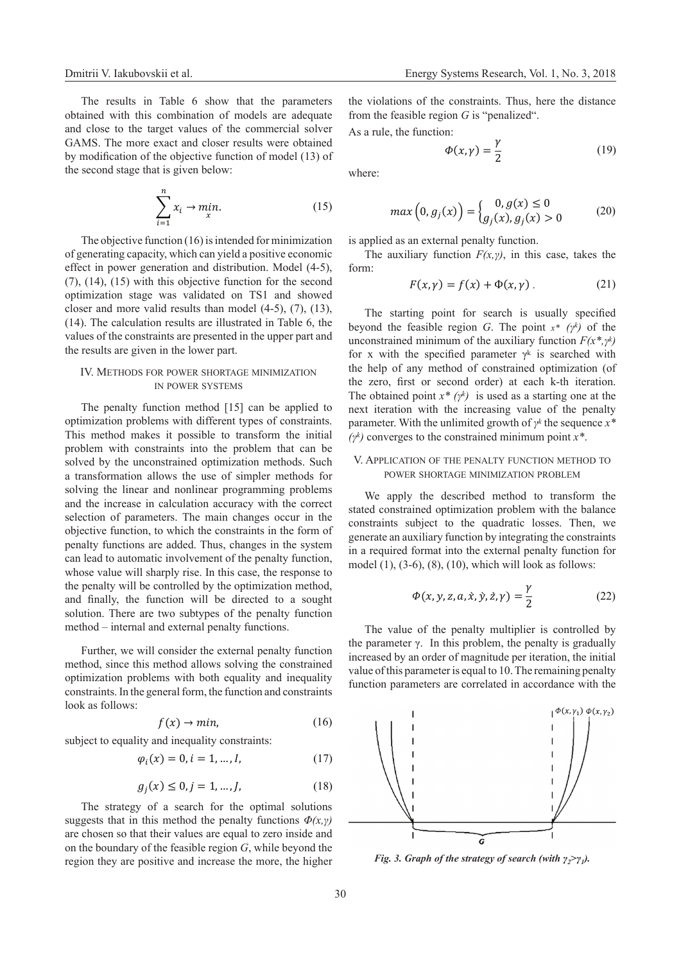The results in Table 6 show that the parameters obtained with this combination of models are adequate and close to the target values of the commercial solver GAMS. The more exact and closer results were obtained by modification of the objective function of model (13) of the second stage that is given below:

$$
\sum_{i=1}^{n} x_i \to \min_{x}.
$$
 (15)

The objective function (16) is intended for minimization of generating capacity, which can yield a positive economic effect in power generation and distribution. Model (4-5), (7), (14), (15) with this objective function for the second optimization stage was validated on ТS1 and showed closer and more valid results than model (4-5), (7), (13), (14). The calculation results are illustrated in Table 6, the values of the constraints are presented in the upper part and the results are given in the lower part.

# IV. Methods for power shortage minimization in power systems

The penalty function method [15] can be applied to optimization problems with different types of constraints. This method makes it possible to transform the initial problem with constraints into the problem that can be solved by the unconstrained optimization methods. Such a transformation allows the use of simpler methods for solving the linear and nonlinear programming problems and the increase in calculation accuracy with the correct selection of parameters. The main changes occur in the objective function, to which the constraints in the form of penalty functions are added. Thus, changes in the system can lead to automatic involvement of the penalty function, whose value will sharply rise. In this case, the response to the penalty will be controlled by the optimization method, and finally, the function will be directed to a sought solution. There are two subtypes of the penalty function method – internal and external penalty functions.

Further, we will consider the external penalty function method, since this method allows solving the constrained optimization problems with both equality and inequality constraints. In the general form, the function and constraints look as follows:

$$
f(x) \to \min,\tag{16}
$$

subject to equality and inequality constraints:

$$
\varphi_i(x) = 0, i = 1, ..., I,
$$
 (17)

$$
g_j(x) \le 0, j = 1, ..., J,
$$
 (18)

The strategy of a search for the optimal solutions suggests that in this method the penalty functions  $\Phi(x, y)$ are chosen so that their values are equal to zero inside and on the boundary of the feasible region *G*, while beyond the region they are positive and increase the more, the higher the violations of the constraints. Thus, here the distance from the feasible region *G* is "penalized".

As a rule, the function:

$$
\Phi(x,\gamma) = \frac{\gamma}{2} \tag{19}
$$

where:

$$
\max\left(0, g_j(x)\right) = \begin{cases} 0, g(x) \le 0\\ g_j(x), g_j(x) > 0 \end{cases} \tag{20}
$$

is applied as an external penalty function.

The auxiliary function  $F(x, y)$ , in this case, takes the form:

$$
F(x, \gamma) = f(x) + \Phi(x, \gamma) \tag{21}
$$

The starting point for search is usually specified beyond the feasible region *G*. The point *x\* (γk)* of the unconstrained minimum of the auxiliary function *F(x\*,γk)* for x with the specified parameter  $\gamma^k$  is searched with the help of any method of constrained optimization (of the zero, first or second order) at each k-th iteration. The obtained point *x\* (γk)* is used as a starting one at the next iteration with the increasing value of the penalty parameter. With the unlimited growth of *γk* the sequence *x\* (γk)* converges to the constrained minimum point *x\**.

# V. Application of the penalty function method to power shortage minimization problem

We apply the described method to transform the stated constrained optimization problem with the balance constraints subject to the quadratic losses. Then, we generate an auxiliary function by integrating the constraints in a required format into the external penalty function for model  $(1)$ ,  $(3-6)$ ,  $(8)$ ,  $(10)$ , which will look as follows:

$$
\Phi(x, y, z, a, \dot{x}, \dot{y}, \dot{z}, \gamma) = \frac{\gamma}{2}
$$
 (22)

The value of the penalty multiplier is controlled by the parameter  $\gamma$ . In this problem, the penalty is gradually increased by an order of magnitude per iteration, the initial value of this parameter is equal to 10. The remaining penalty function parameters are correlated in accordance with the



*Fig. 3. Graph of the strategy of search (with γ<sub>2</sub>>γ<sub>1</sub>).*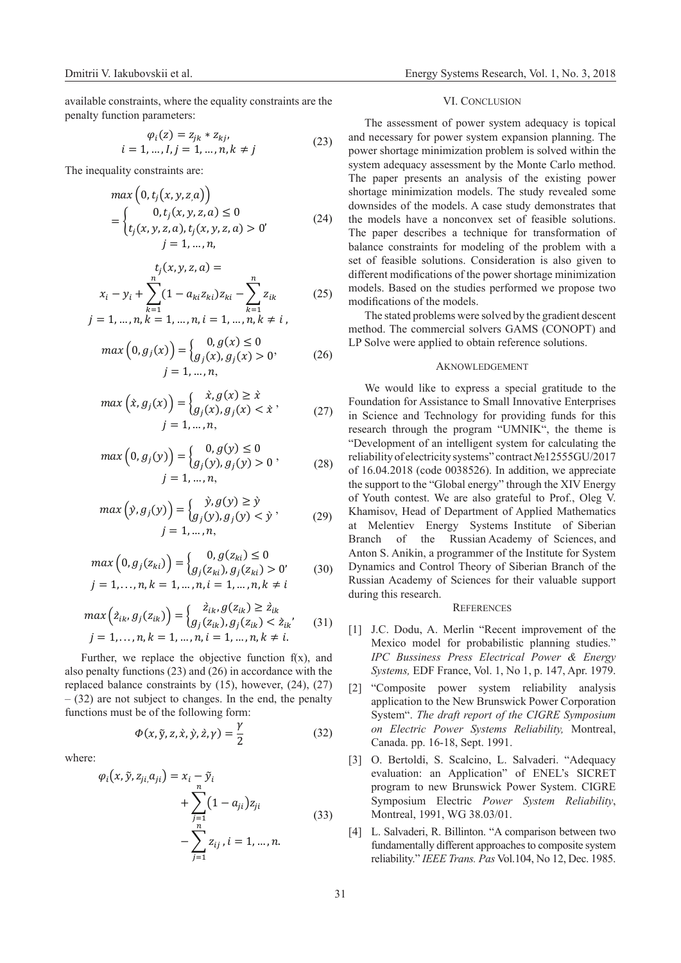Dmitrii V. Iakubovskii et al. [Energy Systems Research,](http://esrj.ru/) Vol. 1, No. 3, 2018

available constraints, where the equality constraints are the penalty function parameters:

$$
\varphi_i(z) = z_{jk} * z_{kj}, \n i = 1, ..., l, j = 1, ..., n, k \neq j
$$
\n(23)

The inequality constraints are:

$$
\max (0, t_j(x, y, z, a))
$$
  
= 
$$
\begin{cases} 0, t_j(x, y, z, a) \le 0 \\ t_j(x, y, z, a), t_j(x, y, z, a) > 0' \end{cases}
$$
 (24)  

$$
j = 1, ..., n,
$$

$$
t_j(x, y, z, a) =
$$
  
\n
$$
x_i - y_i + \sum_{k=1}^n (1 - a_{ki} z_{ki}) z_{ki} - \sum_{k=1}^n z_{ik}
$$
 (25)  
\n
$$
j = 1, ..., n, k = 1, ..., n, i = 1, ..., n, k \neq i,
$$

$$
\max(0, g_j(x)) = \begin{cases} 0, g(x) \le 0\\ g_j(x), g_j(x) > 0 \end{cases}
$$
 (26)  
 $j = 1, ..., n,$ 

$$
\max\left(\dot{x}, g_j(x)\right) = \begin{cases} \dot{x}, g(x) \ge \dot{x} \\ g_j(x), g_j(x) < \dot{x} \end{cases} \tag{27}
$$
\n
$$
j = 1, \dots, n,
$$

$$
\max\left(0, g_j(y)\right) = \begin{cases} 0, g(y) \le 0\\ g_j(y), g_j(y) > 0 \end{cases},
$$
\n
$$
j = 1, ..., n,
$$
\n(28)

$$
\max\left(\hat{y}, g_j(y)\right) = \begin{cases} \hat{y}, g(y) \ge \hat{y} \\ g_j(y), g_j(y) < \hat{y} \end{cases},\tag{29}
$$
\n
$$
j = 1, \dots, n,
$$

$$
\max\left(0, g_j(z_{ki})\right) = \begin{cases} 0, g(z_{ki}) \le 0\\ g_j(z_{ki}), g_j(z_{ki}) > 0' \end{cases}
$$
 (30)  
 $j = 1, ..., n, k = 1, ..., n, i = 1, ..., n, k \ne i$ 

$$
\max\left(\hat{z}_{ik}, g_j(z_{ik})\right) = \begin{cases} \hat{z}_{ik}, g(z_{ik}) \ge \hat{z}_{ik} \\ g_j(z_{ik}), g_j(z_{ik}) < \hat{z}_{ik'} \end{cases} \tag{31}
$$
\n
$$
j = 1, \dots, n, k = 1, \dots, n, i = 1, \dots, n, k \ne i.
$$

Further, we replace the objective function  $f(x)$ , and also penalty functions (23) and (26) in accordance with the replaced balance constraints by (15), however, (24), (27)  $-$  (32) are not subject to changes. In the end, the penalty functions must be of the following form:

$$
\Phi(x, \tilde{y}, z, \dot{x}, \dot{y}, \dot{z}, \gamma) = \frac{\gamma}{2}
$$
\n(32)

where:

$$
\varphi_i(x, \tilde{y}, z_{ji}, a_{ji}) = x_i - \tilde{y}_i + \sum_{\substack{j=1 \ j=1}}^n (1 - a_{ji}) z_{ji} - \sum_{j=1}^n z_{ij}, i = 1, ..., n.
$$
\n(33)

#### VI. CONCLUSION

The assessment of power system adequacy is topical and necessary for power system expansion planning. The power shortage minimization problem is solved within the system adequacy assessment by the Monte Carlo method. The paper presents an analysis of the existing power shortage minimization models. The study revealed some downsides of the models. A case study demonstrates that the models have a nonconvex set of feasible solutions. The paper describes a technique for transformation of balance constraints for modeling of the problem with a set of feasible solutions. Consideration is also given to different modifications of the power shortage minimization models. Based on the studies performed we propose two modifications of the models.

The stated problems were solved by the gradient descent method. The commercial solvers GAMS (CONOPT) and LP Solve were applied to obtain reference solutions.

#### **AKNOWLEDGEMENT**

We would like to express a special gratitude to the Foundation for Assistance to Small Innovative Enterprises in Science and Technology for providing funds for this research through the program "UMNIK", the theme is "Development of an intelligent system for calculating the reliability of electricity systems" contract №12555GU/2017 of 16.04.2018 (code 0038526). In addition, we appreciate the support to the "Global energy" through the XIV Energy of Youth contest. We are also grateful to Prof., Oleg V. Khamisov, Head of Department of Applied Mathematics at Melentiev Energy Systems Institute of Siberian Branch of the Russian Academy of Sciences, and Anton S. Anikin, a programmer of the Institute for System Dynamics and Control Theory of Siberian Branch of the Russian Academy of Sciences for their valuable support during this research.

# **REFERENCES**

- [1] J.C. Dodu, A. Merlin "Recent improvement of the Mexico model for probabilistic planning studies." *IPC Bussiness Press Electrical Power & Energy Systems,* EDF France, Vol. 1, No 1, p. 147, Apr. 1979.
- [2] "Composite power system reliability analysis application to the New Brunswick Power Corporation System". *The draft report of the CIGRE Symposium on Electric Power Systems Reliability,* Montreal, Canada. pp. 16-18, Sept. 1991.
- [3] O. Bertoldi, S. Scalcino, L. Salvaderi. "Adequacy evaluation: an Application" of ENEL's SICRET program to new Brunswick Power System. CIGRE Symposium Electric *Power System Reliability*, Montreal, 1991, WG 38.03/01.
- [4] L. Salvaderi, R. Billinton. "A comparison between two fundamentally different approaches to composite system reliability." *IEEE Trans. Pas* Vol.104, No 12, Dec. 1985.